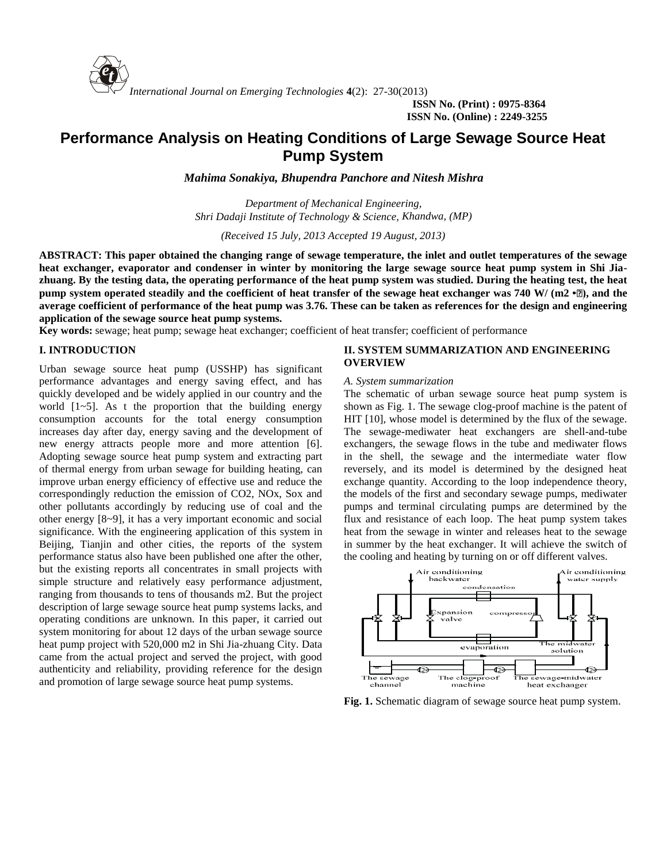

**ISSN No. (Print) : 0975-8364 ISSN No. (Online) : 2249-3255**

# **Performance Analysis on Heating Conditions of Large Sewage Source Heat Pump System**

*Mahima Sonakiya, Bhupendra Panchore and Nitesh Mishra*

*Department of Mechanical Engineering, Shri Dadaji Institute of Technology & Science, Khandwa, (MP)*

*(Received 15 July, 2013 Accepted 19 August, 2013)*

**ABSTRACT: This paper obtained the changing range of sewage temperature, the inlet and outlet temperatures of the sewage heat exchanger, evaporator and condenser in winter by monitoring the large sewage source heat pump system in Shi Jia zhuang. By the testing data, the operating performance of the heat pump system was studied. During the heating test, the heat pump system operated steadily and the coefficient of heat transfer of the sewage heat exchanger was 740 W/ (m2 •<sup>***n***</sup>), and the average coefficient of performance of the heat pump was 3.76. These can be taken as references for the design and engineering application of the sewage source heat pump systems.**

**Key words:** sewage; heat pump; sewage heat exchanger; coefficient of heat transfer; coefficient of performance

## **I. INTRODUCTION**

Urban sewage source heat pump (USSHP) has significant performance advantages and energy saving effect, and has quickly developed and be widely applied in our country and the world  $[1-5]$ . As t the proportion that the building energy consumption accounts for the total energy consumption increases day after day, energy saving and the development of new energy attracts people more and more attention [6]. Adopting sewage source heat pump system and extracting part of thermal energy from urban sewage for building heating, can improve urban energy efficiency of effective use and reduce the correspondingly reduction the emission of CO2, NOx, Sox and other pollutants accordingly by reducing use of coal and the other energy [8~9], it has a very important economic and social significance. With the engineering application of this system in Beijing, Tianjin and other cities, the reports of the system performance status also have been published one after the other, but the existing reports all concentrates in small projects with simple structure and relatively easy performance adjustment, ranging from thousands to tens of thousands m2. But the project description of large sewage source heat pump systems lacks, and operating conditions are unknown. In this paper, it carried out system monitoring for about 12 days of the urban sewage source heat pump project with 520,000 m2 in Shi Jia-zhuang City. Data came from the actual project and served the project, with good authenticity and reliability, providing reference for the design and promotion of large sewage source heat pump systems.

# **II. SYSTEM SUMMARIZATION AND ENGINEERING OVERVIEW**

#### *A. System summarization*

The schematic of urban sewage source heat pump system is shown as Fig. 1. The sewage clog-proof machine is the patent of HIT [10], whose model is determined by the flux of the sewage. The sewage-mediwater heat exchangers are shell-and-tube exchangers, the sewage flows in the tube and mediwater flows in the shell, the sewage and the intermediate water flow reversely, and its model is determined by the designed heat exchange quantity. According to the loop independence theory, the models of the first and secondary sewage pumps, mediwater pumps and terminal circulating pumps are determined by the flux and resistance of each loop. The heat pump system takes heat from the sewage in winter and releases heat to the sewage in summer by the heat exchanger. It will achieve the switch of the cooling and heating by turning on or off different valves.



**Fig. 1.** Schematic diagram of sewage source heat pump system.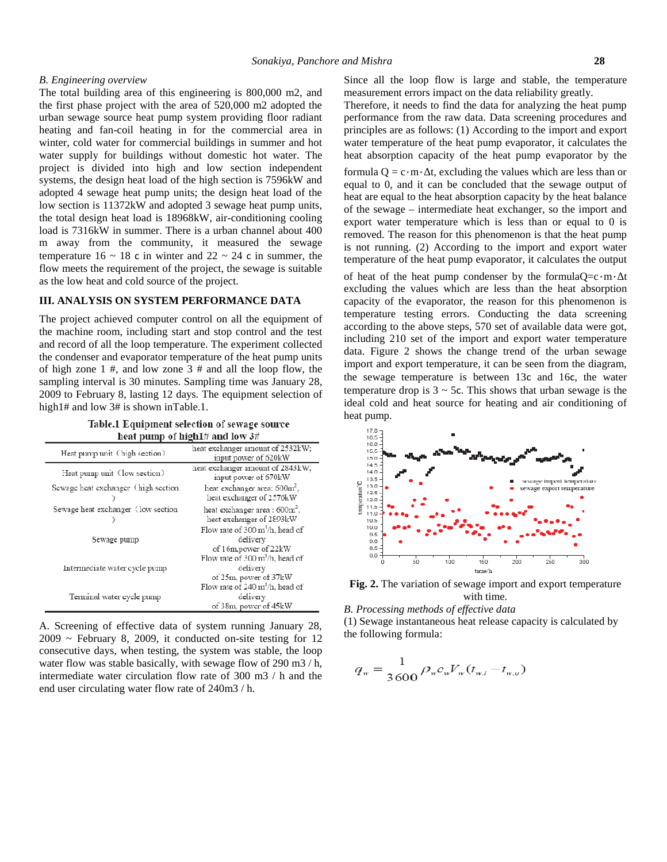### *B. Engineering overview*

The total building area of this engineering is 800,000 m2, and the first phase project with the area of 520,000 m2 adopted the urban sewage source heat pump system providing floor radiant heating and fan-coil heating in for the commercial area in winter, cold water for commercial buildings in summer and hot water supply for buildings without domestic hot water. The project is divided into high and low section independent systems, the design heat load of the high section is 7596kW and adopted 4 sewage heat pump units; the design heat load of the low section is 11372kW and adopted 3 sewage heat pump units, the total design heat load is 18968kW, air-conditioning cooling load is 7316kW in summer. There is a urban channel about 400 m away from the community, it measured the sewage temperature  $16 \sim 18$  c in winter and  $22 \sim 24$  c in summer, the flow meets the requirement of the project, the sewage is suitable as the low heat and cold source of the project.

# **III. ANALYSIS ON SYSTEM PERFORMANCE DATA**

The project achieved computer control on all the equipment of the machine room, including start and stop control and the test and record of all the loop temperature. The experiment collected the condenser and evaporator temperature of the heat pump units of high zone 1 #, and low zone 3 # and all the loop flow, the sampling interval is 30 minutes. Sampling time was January 28, 2009 to February 8, lasting 12 days. The equipment selection of high1# and low 3# is shown inTable.1.

Table.1 Equipment selection of sewage source heat pump of high1# and low 3#

| Heat pump unit (high section)       | heat exchanger amount of 2532kW;<br>input power of 620kW                               |
|-------------------------------------|----------------------------------------------------------------------------------------|
| Heat pump unit (low section)        | heat exchanger amount of 2843kW,<br>input power of 670kW                               |
| Sewage heat exchanger (high section | heat exchanger area: 600m <sup>2</sup> ,<br>heat exchanger of 2576kW                   |
| Sewage heat exchanger (low section  | heat exchanger area: $600m^2$ ,<br>heat exchanger of 2893kW                            |
| Sewage pump                         | Flow rate of $300 \text{ m}^3/\text{h}$ , head of<br>delivery<br>of 16m, power of 22kW |
| Intermediate water cycle pump       | Flow rate of 300 m <sup>3</sup> /h, head of<br>delivery<br>of 25m, power of 37kW       |
| Terminal water cycle pump           | Flow rate of $240 \text{ m}^3$ /h, head of<br>delivery<br>of 38m, power of 45kW        |

A. Screening of effective data of system running January 28,  $2009 \sim$  February 8, 2009, it conducted on-site testing for 12 consecutive days, when testing, the system was stable, the loop water flow was stable basically, with sewage flow of 290 m3 / h, intermediate water circulation flow rate of 300 m3 / h and the end user circulating water flow rate of 240m3 / h.

Since all the loop flow is large and stable, the temperature measurement errors impact on the data reliability greatly.

Therefore, it needs to find the data for analyzing the heat pump performance from the raw data. Data screening procedures and principles are as follows: (1) According to the import and export water temperature of the heat pump evaporator, it calculates the heat absorption capacity of the heat pump evaporator by the

formula  $Q = c \cdot m \cdot t$ , excluding the values which are less than or equal to 0, and it can be concluded that the sewage output of heat are equal to the heat absorption capacity by the heat balance of the sewage – intermediate heat exchanger, so the import and export water temperature which is less than or equal to 0 is removed. The reason for this phenomenon is that the heat pump is not running. (2) According to the import and export water temperature of the heat pump evaporator, it calculates the output

of heat of the heat pump condenser by the formula $Q=c \cdot m \cdot t$ excluding the values which are less than the heat absorption capacity of the evaporator, the reason for this phenomenon is temperature testing errors. Conducting the data screening according to the above steps, 570 set of available data were got, including 210 set of the import and export water temperature data. Figure 2 shows the change trend of the urban sewage import and export temperature, it can be seen from the diagram, the sewage temperature is between 13c and 16c, the water temperature drop is  $3 \sim 5c$ . This shows that urban sewage is the ideal cold and heat source for heating and air conditioning of heat pump.



**Fig. 2.** The variation of sewage import and export temperature with time.

*B. Processing methods of effective data*

(1) Sewage instantaneous heat release capacity is calculated by the following formula:

$$
q_w = \frac{1}{3600} \rho_w c_w V_w (t_{w,i} - t_{w,o})
$$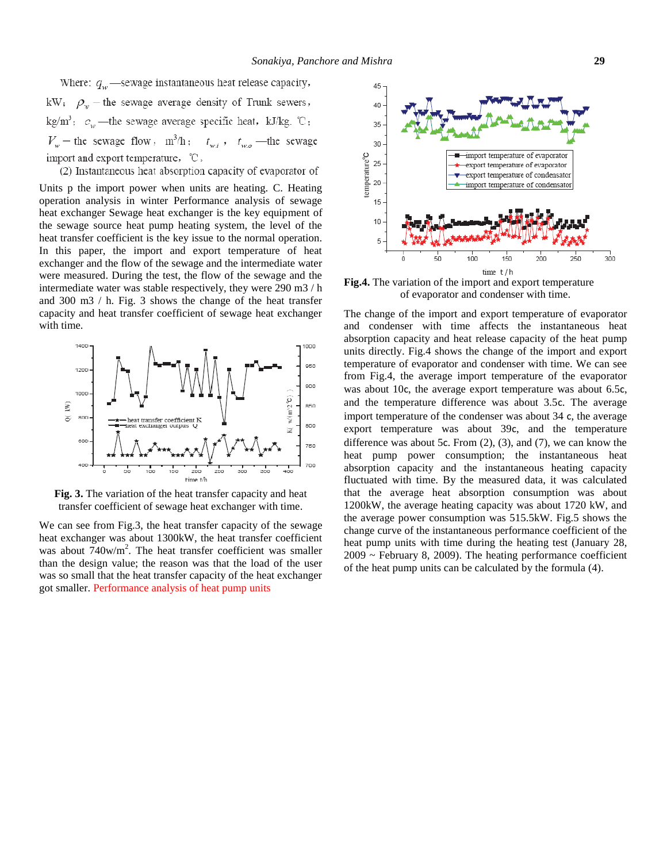Where:  $q_w$  -sewage instantaneous heat release capacity, kW;  $\rho_w$  – the sewage average density of Trunk sewers, kg/m<sup>3</sup>;  $c_w$  —the sewage average specific heat, kJ/kg. °C;  $V_w$  – the sewage flow,  $m^3/h$ ;  $t_{w,i}$ ,  $t_{w,o}$  – the sewage import and export temperature, °C.

(2) Instantaneous heat absorption capacity of evaporator of

import and export temperature,  $^{\circ}\mathbb{C}$ .<br>
(2) Instantaneous heat absorption capacity of evaporator of Units p the import power when units are heating. C. Heating operation analysis in winter Performance analysis of sewage heat exchanger Sewage heat exchanger is the key equipment of the sewage source heat pump heating system, the level of the heat transfer coefficient is the key issue to the normal operation. In this paper, the import and export temperature of heat exchanger and the flow of the sewage and the intermediate water were measured. During the test, the flow of the sewage and the intermediate water was stable respectively, they were 290 m3 / h and 300 m3 / h. Fig. 3 shows the change of the heat transfer capacity and heat transfer coefficient of sewage heat exchanger with time.



**Fig. 3.** The variation of the heat transfer capacity and heat transfer coefficient of sewage heat exchanger with time.

We can see from Fig.3, the heat transfer capacity of the sewage heat exchanger was about 1300kW, the heat transfer coefficient was about  $740$ w/m<sup>2</sup>. The heat transfer coefficient was smaller than the design value; the reason was that the load of the user was so small that the heat transfer capacity of the heat exchanger got smaller. Performance analysis of heat pump units



**Fig.4.** The variation of the import and export temperature of evaporator and condenser with time.

The change of the import and export temperature of evaporator and condenser with time affects the instantaneous heat absorption capacity and heat release capacity of the heat pump units directly. Fig.4 shows the change of the import and export temperature of evaporator and condenser with time. We can see from Fig.4, the average import temperature of the evaporator was about 10c, the average export temperature was about 6.5c, and the temperature difference was about 3.5c. The average import temperature of the condenser was about 34 c, the average export temperature was about 39c, and the temperature difference was about 5c. From (2), (3), and (7), we can know the heat pump power consumption; the instantaneous heat absorption capacity and the instantaneous heating capacity fluctuated with time. By the measured data, it was calculated that the average heat absorption consumption was about 1200kW, the average heating capacity was about 1720 kW, and the average power consumption was 515.5kW. Fig.5 shows the change curve of the instantaneous performance coefficient of the heat pump units with time during the heating test (January 28, 2009 ~ February 8, 2009). The heating performance coefficient of the heat pump units can be calculated by the formula (4).